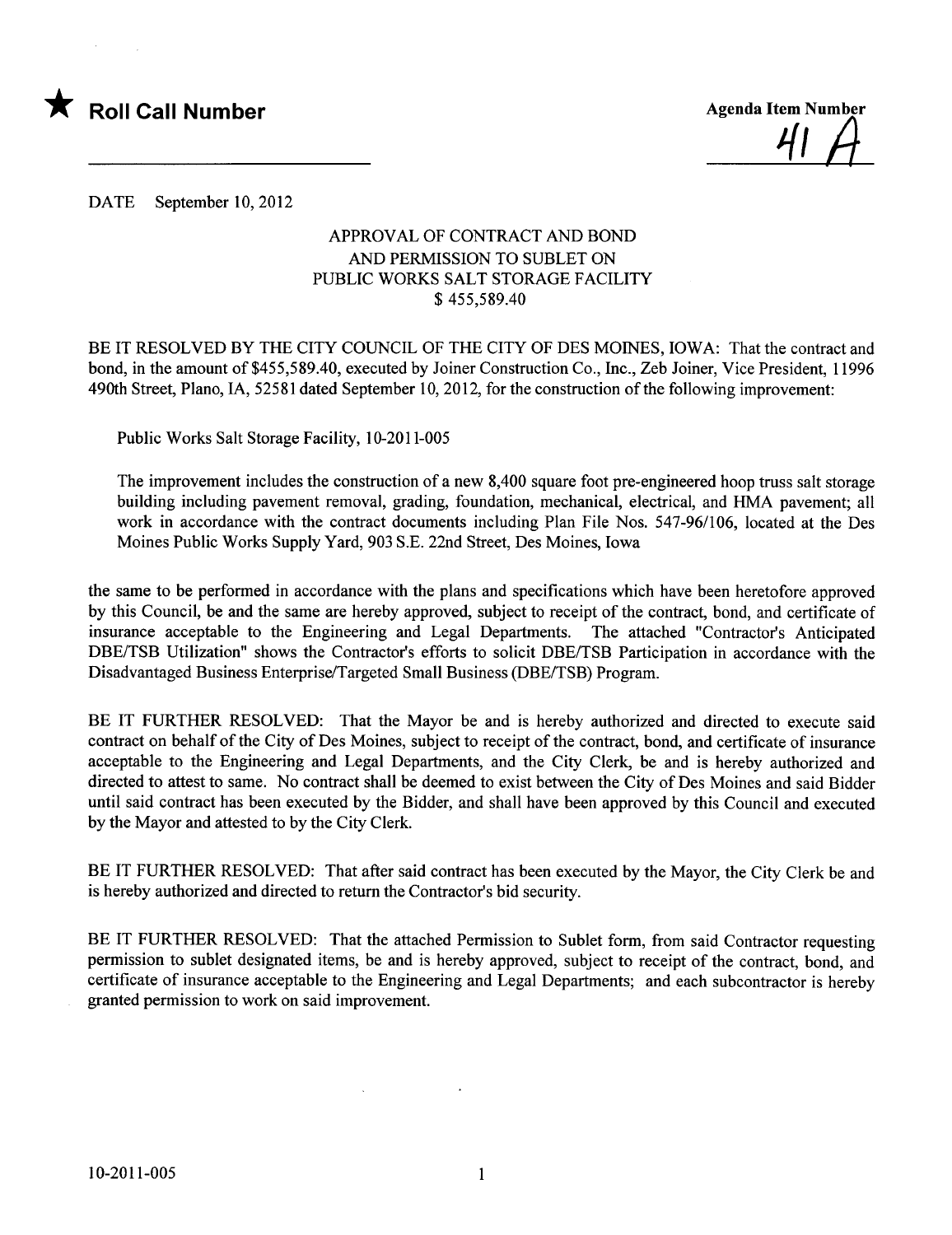

41 A

DATE September 10, 2012

#### APPROVAL OF CONTRACT AND BOND AND PERMISSION TO SUBLET ON PUBLIC WORKS SALT STORAGE FACILITY \$ 455,589.40

BE IT RESOLVED BY THE CITY COUNCIL OF THE CITY OF DES MOINES, IOWA: That the contract and bond, in the amount of \$455,589.40, executed by Joiner Construction Co., Inc., Zeb Joiner, Vice President, 11996 490th Street, Plano, lA, 52581 dated September 10, 2012, for the construction of the following improvement:

Public Works Salt Storage Facility, 10-2011-005

The improvement includes the construction of a new 8,400 square foot pre-engineered hoop truss salt storage building including pavement removal, grading, foundation, mechanical, electrical, and HMA pavement; all work in accordance with the contract documents including Plan File Nos. 547-96/106, located at the Des Moines Public Works Supply Yard, 903 S.E. 22nd Street, Des Moines, Iowa

the same to be performed in accordance with the plans and specifications which have been heretofore approved by this Council, be and the same are hereby approved, subject to receipt of the contract, bond, and certificate of insurance acceptable to the Engineering and Legal Departments. The attached "Contractor's Anticipated DBE/TSB Utilization" shows the Contractor's efforts to solicit DBE/TSB Participation in accordance with the Disadvantaged Business Enterprise/Targeted Small Business (DBE/TSB) Program.

BE IT FURTHER RESOLVED: That the Mayor be and is hereby authorized and directed to execute said contract on behalf of the City of Des Moines, subject to receipt of the contract, bond, and certificate of insurance acceptable to the Engineering and Legal Departments, and the City Clerk, be and is hereby authorized and directed to attest to same. No contract shall be deemed to exist between the City of Des Moines and said Bidder until said contract has been executed by the Bidder, and shall have been approved by this Council and executed by the Mayor and attested to by the City Clerk.

BE IT FURTHER RESOLVED: That after said contract has been executed by the Mayor, the City Clerk be and is hereby authorized and directed to return the Contractor's bid security.

BE IT FURTHER RESOLVED: That the attached Permission to Sublet form, from said Contractor requesting permission to sublet designated items, be and is hereby approved, subject to receipt of the contract, bond, and certificate of insurance acceptable to the Engineering and Legal Departments; and each subcontractor is hereby granted permission to work on said improvement.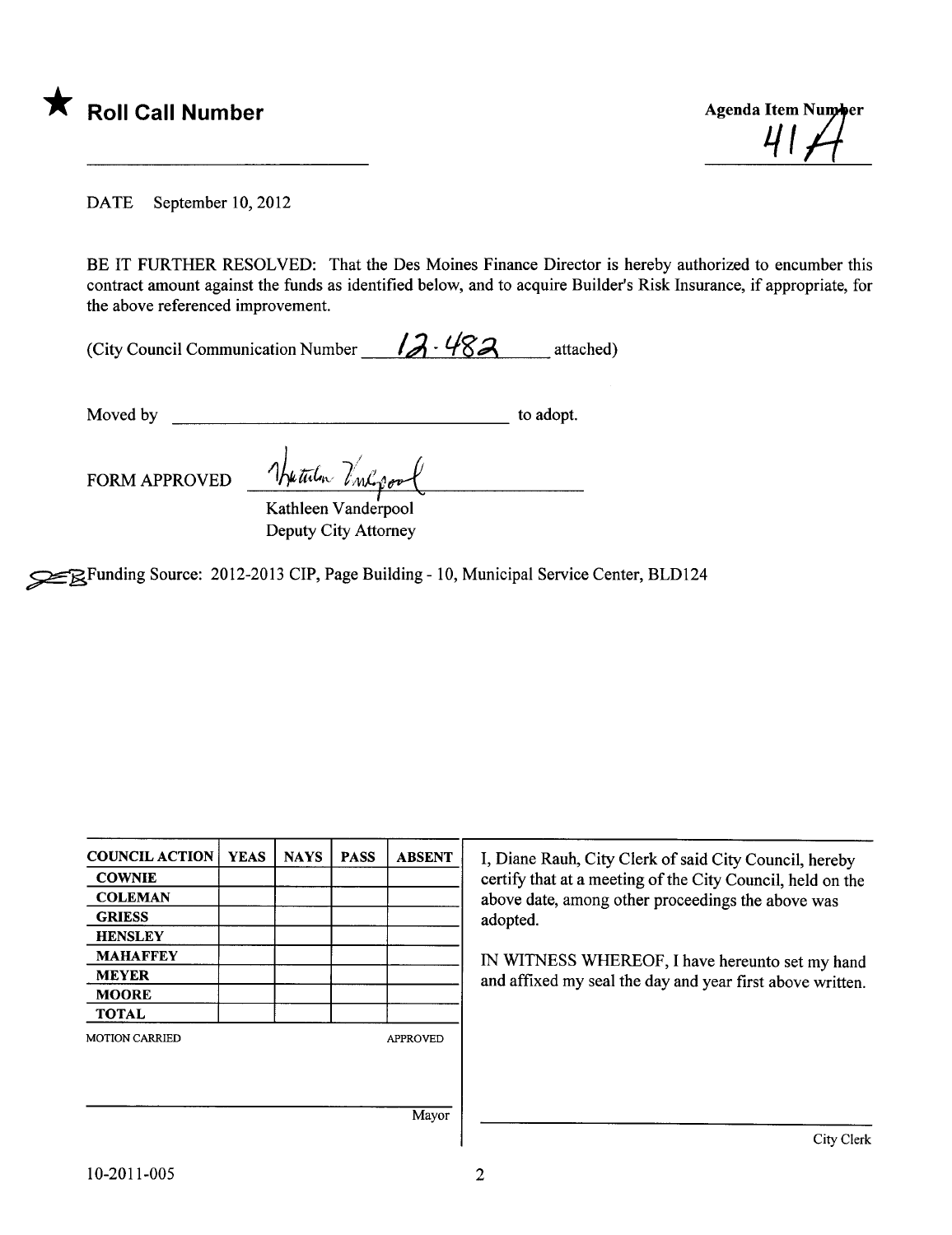

DATE September 10, 2012

BE IT FURTHER RESOLVED: That the Des Moines Finance Director is hereby authorized to encumber this contract amount against the funds as identified below, and to acquire Builder's Risk Insurance, if appropriate, for the above referenced improvement.

 $\overline{\phantom{a}}$ 

| (City Council Communication Number | $12 - 482$ | attached) |
|------------------------------------|------------|-----------|
|------------------------------------|------------|-----------|

Moved by to adopt.

FORM APPROVED The tulm Inlegge

Kathleen Vanderpool Deputy City Attorney

~Funding Source: 2012-2013 CIP, Page Building - 10, Municipal Service Center, BLD124

| <b>COUNCIL ACTION</b><br><b>COWNIE</b> | <b>YEAS</b> | <b>NAYS</b> | <b>PASS</b> | <b>ABSENT</b>   | I, Diane Rauh, City Clerk of said City Council, hereby<br>certify that at a meeting of the City Council, held on the |
|----------------------------------------|-------------|-------------|-------------|-----------------|----------------------------------------------------------------------------------------------------------------------|
| <b>COLEMAN</b>                         |             |             |             |                 | above date, among other proceedings the above was                                                                    |
| <b>GRIESS</b>                          |             |             |             |                 | adopted.                                                                                                             |
| <b>HENSLEY</b>                         |             |             |             |                 |                                                                                                                      |
| <b>MAHAFFEY</b>                        |             |             |             |                 | IN WITNESS WHEREOF, I have hereunto set my hand                                                                      |
| <b>MEYER</b>                           |             |             |             |                 | and affixed my seal the day and year first above written.                                                            |
| <b>MOORE</b>                           |             |             |             |                 |                                                                                                                      |
| <b>TOTAL</b>                           |             |             |             |                 |                                                                                                                      |
| <b>MOTION CARRIED</b>                  |             |             |             | <b>APPROVED</b> |                                                                                                                      |
|                                        |             |             |             |                 |                                                                                                                      |
|                                        |             |             |             |                 |                                                                                                                      |
|                                        |             |             |             | Mayor           |                                                                                                                      |
|                                        |             |             |             |                 | City Clerk                                                                                                           |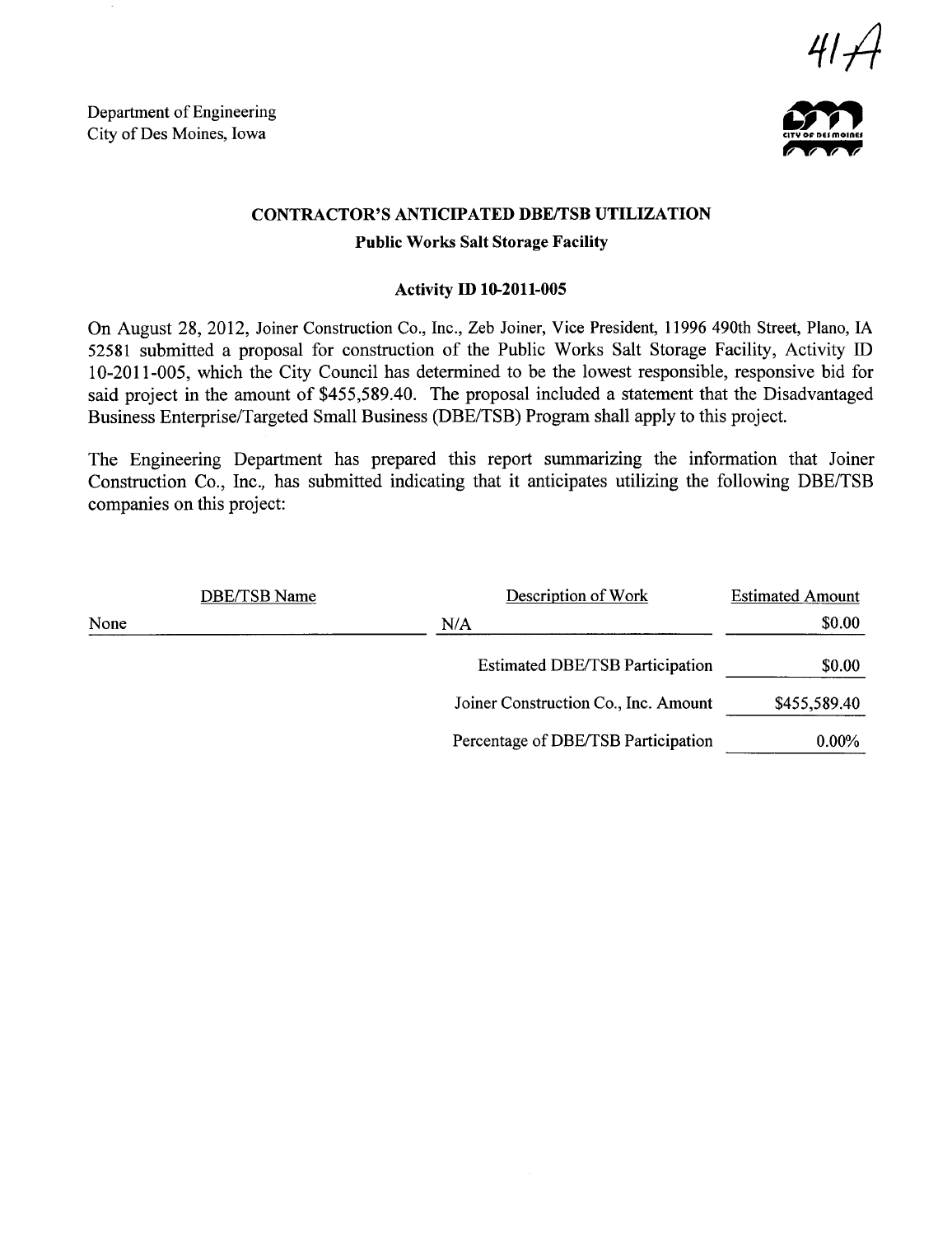Department of Engineering Department of Engineering<br>City of Des Moines, Iowa





#### CONTRACTOR'S ANTICIPATED DBE/TSB UTILIZATION

#### Public Works Salt Storage Facilty

#### Activity ID 10-2011-005

On August 28, 2012, Joiner Construction Co., Inc., Zeb Joiner, Vice President, 11996 490th Street, Plano, IA 52581 submitted a proposal for construction of the Public Works Salt Storage Facility, Activity ID 10-2011-005, which the City Council has determined to be the lowest responsible, responsive bid for said project in the amount of \$455,589.40. The proposal included a statement that the Disadvantaged Business Enterprise/Targeted Small Business (DBE/TSB) Program shall apply to this project.

The Engineering Deparment has prepared this report summarizing the information that Joiner Construction Co., Inc., has submitted indicating that it anticipates utilizing the following DBE/TSB companies on this project:

|      | DBE/TSB Name | Description of Work                    | <b>Estimated Amount</b> |
|------|--------------|----------------------------------------|-------------------------|
| None |              | N/A                                    | \$0.00                  |
|      |              | <b>Estimated DBE/TSB Participation</b> | \$0.00                  |
|      |              | Joiner Construction Co., Inc. Amount   | \$455,589.40            |
|      |              | Percentage of DBE/TSB Participation    | $0.00\%$                |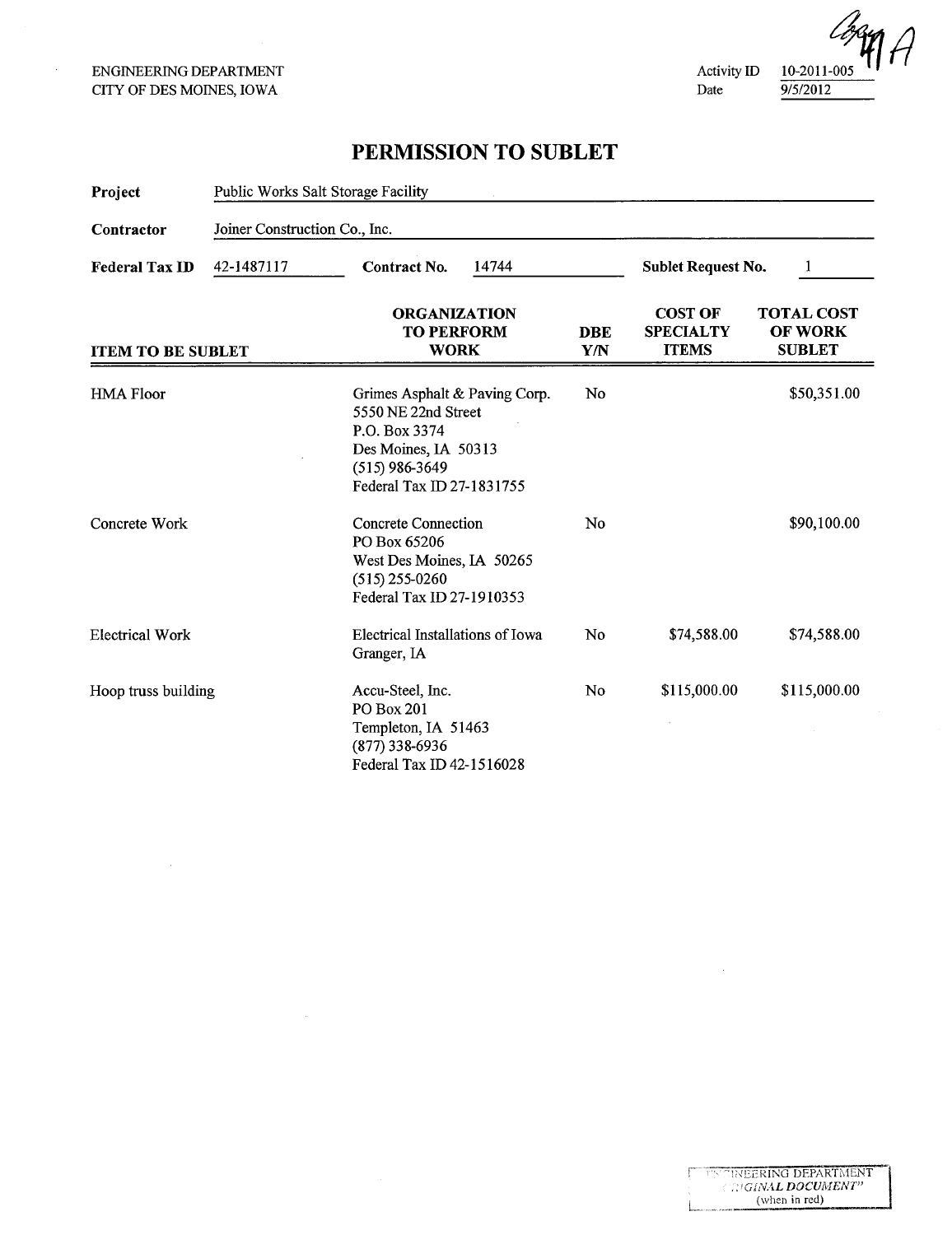$\mathcal{L}$ 

 $\bar{z}$ 

Activity ID Date



### PERMISSION TO SUBLET

| Project                  | Public Works Salt Storage Facility<br>Joiner Construction Co., Inc. |                                                                                                                                                |                   |                                                    |                                                      |  |  |
|--------------------------|---------------------------------------------------------------------|------------------------------------------------------------------------------------------------------------------------------------------------|-------------------|----------------------------------------------------|------------------------------------------------------|--|--|
| Contractor               |                                                                     |                                                                                                                                                |                   |                                                    |                                                      |  |  |
| <b>Federal Tax ID</b>    | 42-1487117                                                          | <b>Contract No.</b><br>14744                                                                                                                   |                   |                                                    | <b>Sublet Request No.</b><br>1                       |  |  |
| <b>ITEM TO BE SUBLET</b> |                                                                     | <b>ORGANIZATION</b><br><b>TO PERFORM</b><br><b>WORK</b>                                                                                        | <b>DBE</b><br>Y/N | <b>COST OF</b><br><b>SPECIALTY</b><br><b>ITEMS</b> | <b>TOTAL COST</b><br><b>OF WORK</b><br><b>SUBLET</b> |  |  |
| <b>HMA Floor</b>         |                                                                     | Grimes Asphalt & Paving Corp.<br>5550 NE 22nd Street<br>P.O. Box 3374<br>Des Moines, IA 50313<br>$(515)$ 986-3649<br>Federal Tax ID 27-1831755 | No                |                                                    | \$50,351.00                                          |  |  |
| Concrete Work            |                                                                     | Concrete Connection<br>PO Box 65206<br>West Des Moines, IA 50265<br>$(515)$ 255-0260<br>Federal Tax ID 27-1910353                              | No                |                                                    | \$90,100.00                                          |  |  |
| <b>Electrical Work</b>   |                                                                     | Electrical Installations of Iowa<br>Granger, IA                                                                                                | No                | \$74,588.00                                        | \$74,588.00                                          |  |  |
| Hoop truss building      |                                                                     | Accu-Steel, Inc.<br>PO Box 201<br>Templeton, IA 51463<br>$(877)$ 338-6936<br>Federal Tax ID 42-1516028                                         | No                | \$115,000.00                                       | \$115,000.00                                         |  |  |

 $\sim$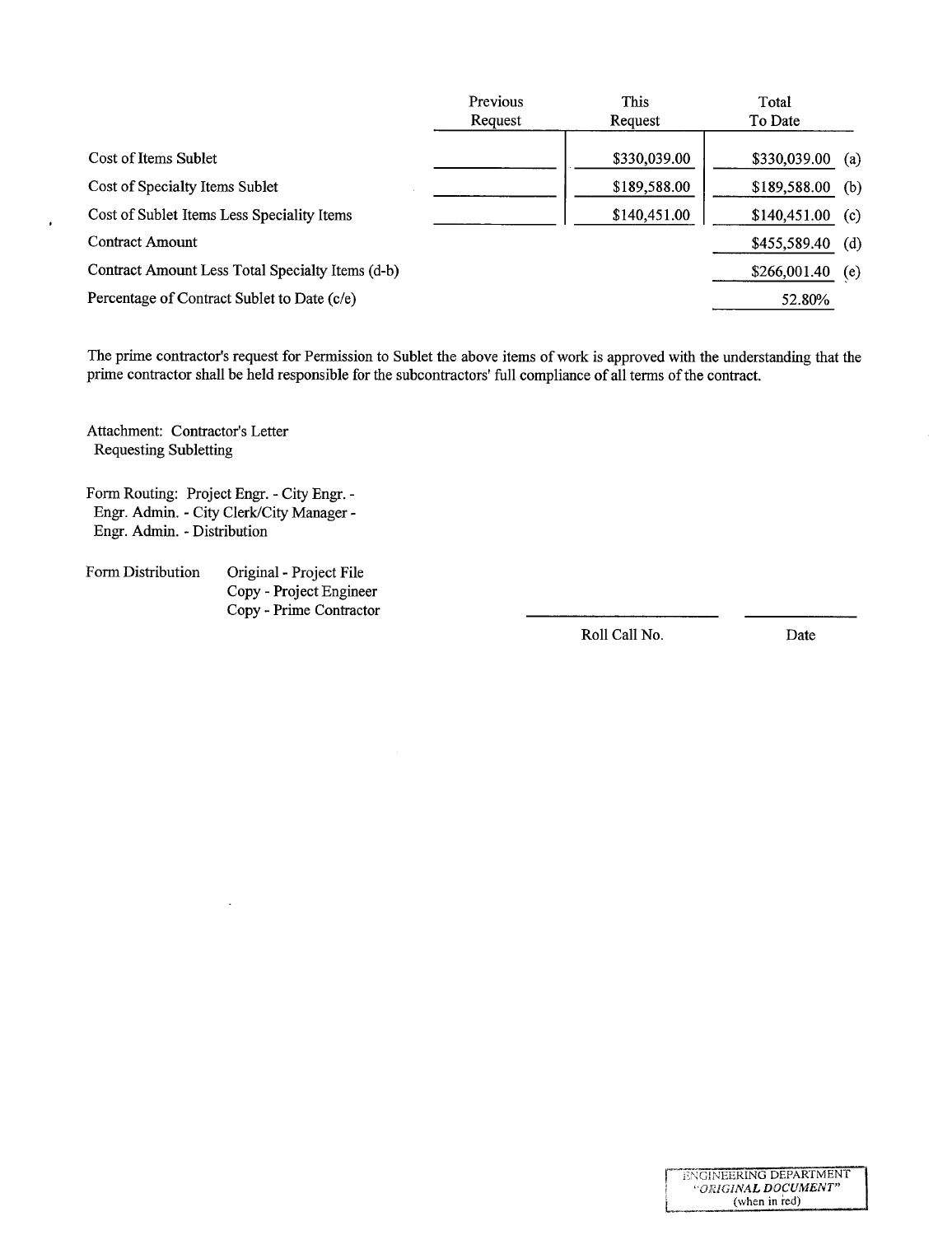| Previous | This         | Total        |     |
|----------|--------------|--------------|-----|
| Request  | Request      | To Date      |     |
|          | \$330,039.00 | \$330,039.00 | (a) |
|          | \$189,588.00 | \$189,588.00 | (b) |
|          | \$140,451.00 | \$140,451.00 | (c) |
|          |              | \$455,589.40 | (d) |
|          |              | \$266,001.40 | (e) |
|          |              | 52.80%       |     |
|          |              |              |     |

The prime contractor's request for Permission to Sublet the above items of work is approved with the understanding that the prime contractor shall be held responsible for the subcontractors' full compliance of all terms of the contract.

Attachment: Contractor's Letter Requesting Subletting

 $\bullet$ 

- Form Routing: Project Engr. City Engr. Engr. Admin. - City Clerk/City Manager -Engr. Admin. - Distribution
- Form Distribution Original Project File Copy - Project Engineer Copy - Prime Contractor

Roll Call No. Date

ENGINEERING DEPARTMENT I 'ORIGINAL DOCUMENT" (when in red)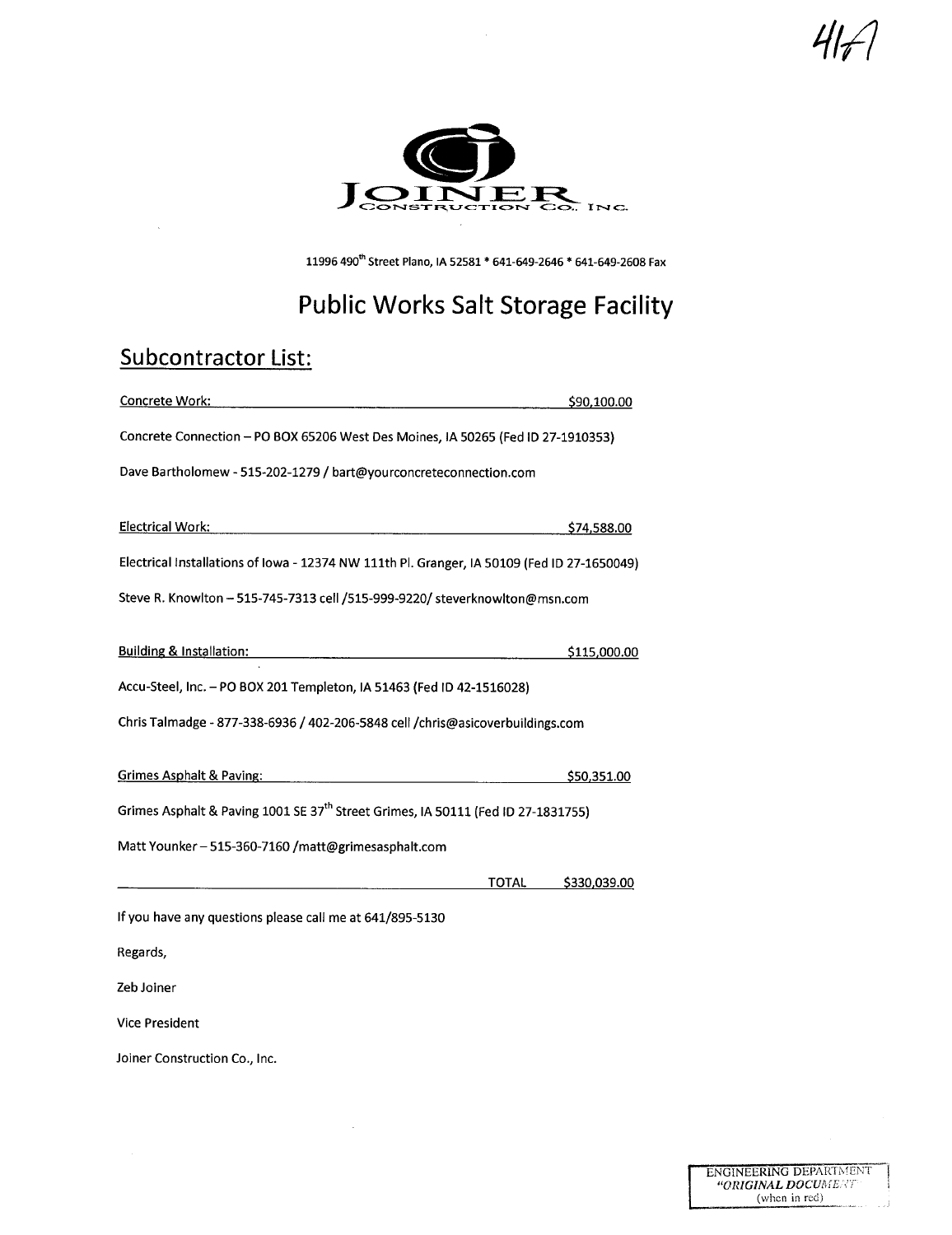417/



11996 490<sup>th</sup> Street Plano, IA 52581 \* 641-649-2646 \* 641-649-2608 Fax

# Public Works Salt Storage Facility

## Subcontractor List:

| Concrete Work:                                                                                                                                                                                                                 | \$90,100.00        |  |  |  |
|--------------------------------------------------------------------------------------------------------------------------------------------------------------------------------------------------------------------------------|--------------------|--|--|--|
| Concrete Connection - PO BOX 65206 West Des Moines, IA 50265 (Fed ID 27-1910353)                                                                                                                                               |                    |  |  |  |
| Dave Bartholomew - 515-202-1279 / bart@yourconcreteconnection.com                                                                                                                                                              |                    |  |  |  |
|                                                                                                                                                                                                                                |                    |  |  |  |
| Electrical Work:                                                                                                                                                                                                               | \$74,588.00        |  |  |  |
| Electrical Installations of Iowa - 12374 NW 111th Pl. Granger, IA 50109 (Fed ID 27-1650049)                                                                                                                                    |                    |  |  |  |
| Steve R. Knowlton - 515-745-7313 cell /515-999-9220/ steverknowlton@msn.com                                                                                                                                                    |                    |  |  |  |
| Building & Installation: National Action of the United States of the United States and Action of the United States of the United States and Action of the United States and Action of the United States and Action of the Unit | \$115,000.00       |  |  |  |
|                                                                                                                                                                                                                                |                    |  |  |  |
| Accu-Steel, Inc. - PO BOX 201 Templeton, IA 51463 (Fed ID 42-1516028)                                                                                                                                                          |                    |  |  |  |
| Chris Talmadge - 877-338-6936 / 402-206-5848 cell /chris@asicoverbuildings.com                                                                                                                                                 |                    |  |  |  |
| Grimes Asphalt & Paving:<br><u> 1989 - Johann Barbara, martin da basar da basar da basar da basar da basar da basar da basar da basar da basa</u>                                                                              | \$50,351.00        |  |  |  |
|                                                                                                                                                                                                                                |                    |  |  |  |
| Grimes Asphalt & Paving 1001 SE 37 <sup>th</sup> Street Grimes, IA 50111 (Fed ID 27-1831755)                                                                                                                                   |                    |  |  |  |
| Matt Younker - 515-360-7160 /matt@grimesasphalt.com                                                                                                                                                                            |                    |  |  |  |
|                                                                                                                                                                                                                                | TOTAL \$330,039.00 |  |  |  |
| If you have any questions please call me at 641/895-5130                                                                                                                                                                       |                    |  |  |  |
| Regards,                                                                                                                                                                                                                       |                    |  |  |  |
| Zeb Joiner                                                                                                                                                                                                                     |                    |  |  |  |
| <b>Vice President</b>                                                                                                                                                                                                          |                    |  |  |  |
| Joiner Construction Co., Inc.                                                                                                                                                                                                  |                    |  |  |  |

 $\bar{z}$